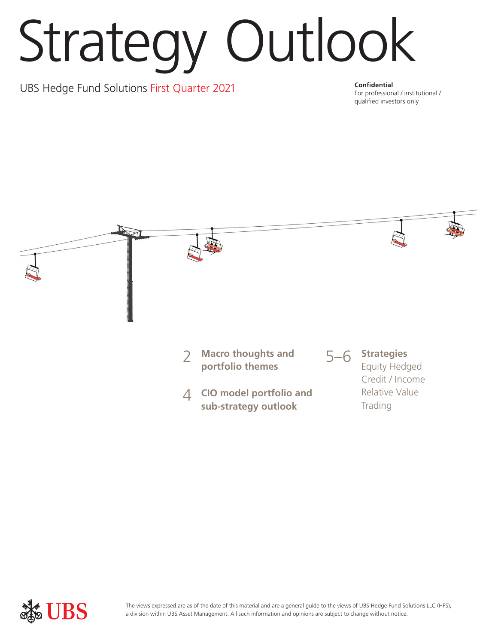# Strategy Outlook

UBS Hedge Fund Solutions First Quarter 2021 **Confidential** 

For professional / institutional / qualified investors only



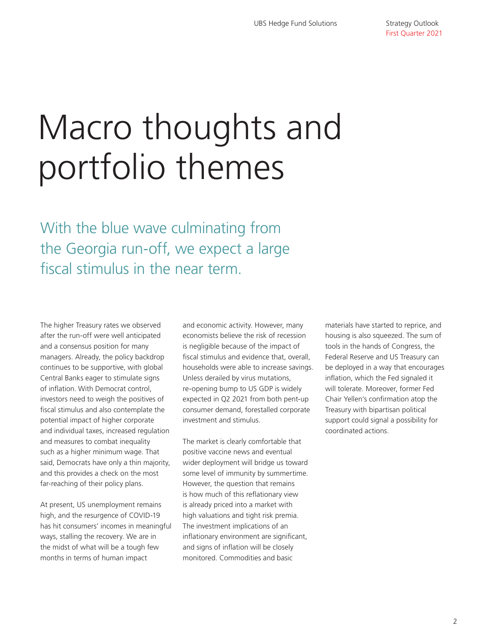## Macro thoughts and portfolio themes

With the blue wave culminating from the Georgia run-off, we expect a large fiscal stimulus in the near term.

The higher Treasury rates we observed after the run-off were well anticipated and a consensus position for many managers. Already, the policy backdrop continues to be supportive, with global Central Banks eager to stimulate signs of inflation. With Democrat control, investors need to weigh the positives of fiscal stimulus and also contemplate the potential impact of higher corporate and individual taxes, increased regulation and measures to combat inequality such as a higher minimum wage. That said, Democrats have only a thin majority, and this provides a check on the most far-reaching of their policy plans.

At present, US unemployment remains high, and the resurgence of COVID-19 has hit consumers' incomes in meaningful ways, stalling the recovery. We are in the midst of what will be a tough few months in terms of human impact

and economic activity. However, many economists believe the risk of recession is negligible because of the impact of fiscal stimulus and evidence that, overall, households were able to increase savings. Unless derailed by virus mutations, re-opening bump to US GDP is widely expected in Q2 2021 from both pent-up consumer demand, forestalled corporate investment and stimulus.

The market is clearly comfortable that positive vaccine news and eventual wider deployment will bridge us toward some level of immunity by summertime. However, the question that remains is how much of this reflationary view is already priced into a market with high valuations and tight risk premia. The investment implications of an inflationary environment are significant, and signs of inflation will be closely monitored. Commodities and basic

materials have started to reprice, and housing is also squeezed. The sum of tools in the hands of Congress, the Federal Reserve and US Treasury can be deployed in a way that encourages inflation, which the Fed signaled it will tolerate. Moreover, former Fed Chair Yellen's confirmation atop the Treasury with bipartisan political support could signal a possibility for coordinated actions.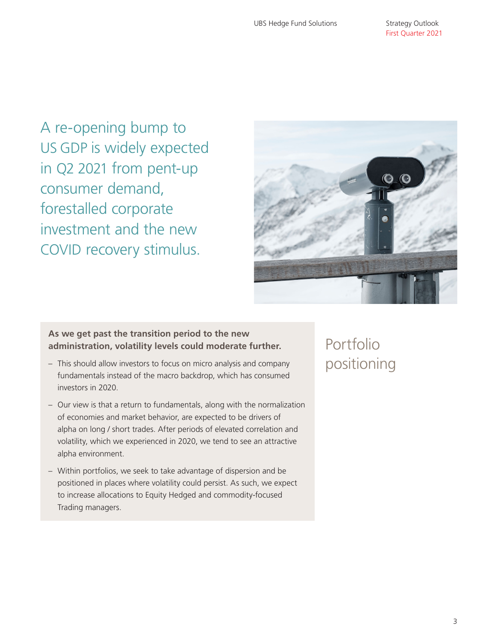A re-opening bump to US GDP is widely expected in Q2 2021 from pent-up consumer demand, forestalled corporate investment and the new COVID recovery stimulus.



## **As we get past the transition period to the new administration, volatility levels could moderate further.**

- This should allow investors to focus on micro analysis and company fundamentals instead of the macro backdrop, which has consumed investors in 2020.
- Our view is that a return to fundamentals, along with the normalization of economies and market behavior, are expected to be drivers of alpha on long / short trades. After periods of elevated correlation and volatility, which we experienced in 2020, we tend to see an attractive alpha environment.
- Within portfolios, we seek to take advantage of dispersion and be positioned in places where volatility could persist. As such, we expect to increase allocations to Equity Hedged and commodity-focused Trading managers.

Portfolio positioning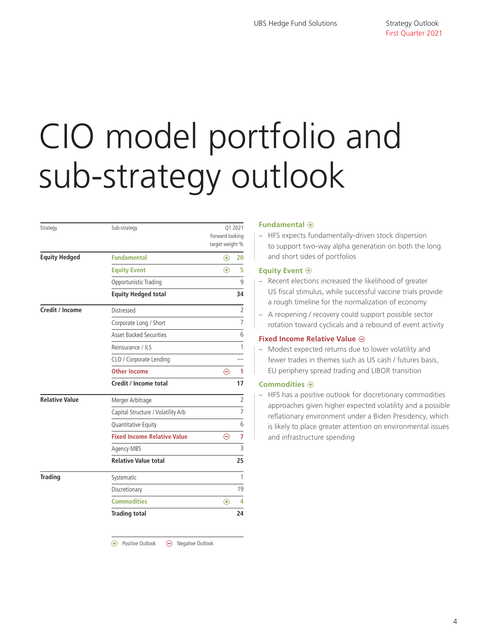## CIO model portfolio and sub-strategy outlook

| Strategy              | Sub-strategy                       | Q1 2021<br>Forward looking<br>target weight % |                |
|-----------------------|------------------------------------|-----------------------------------------------|----------------|
| <b>Equity Hedged</b>  | <b>Fundamental</b>                 | $\bigoplus$                                   | 20             |
|                       | <b>Equity Event</b>                | $\bigoplus$                                   | 5              |
|                       | Opportunistic Trading              |                                               | 9              |
|                       | <b>Equity Hedged total</b>         |                                               | 34             |
| Credit / Income       | Distressed                         |                                               | $\overline{2}$ |
|                       | Corporate Long / Short             |                                               | $\overline{7}$ |
|                       | <b>Asset Backed Securities</b>     |                                               | 6              |
|                       | Reinsurance / ILS                  |                                               | 1              |
|                       | CLO / Corporate Lending            |                                               |                |
|                       | <b>Other Income</b>                | Θ                                             | 1              |
|                       | Credit / Income total              |                                               | 17             |
| <b>Relative Value</b> | Merger Arbitrage                   |                                               | $\overline{2}$ |
|                       | Capital Structure / Volatility Arb |                                               | $\overline{7}$ |
|                       | Quantitative Equity                |                                               | 6              |
|                       | <b>Fixed Income Relative Value</b> | $\ominus$                                     | $\overline{7}$ |
|                       | Agency MBS                         |                                               | 3              |
|                       | <b>Relative Value total</b>        |                                               | 25             |
| <b>Trading</b>        | Systematic                         |                                               | 1              |
|                       | Discretionary                      |                                               | 19             |
|                       | <b>Commodities</b>                 | $\bigoplus$                                   | 4              |
|                       | <b>Trading total</b>               |                                               | 24             |

 $\Theta$  Negative Outlook (+) Positive Outlook

### **Fundamental**  $\oplus$

– HFS expects fundamentally-driven stock dispersion to support two-way alpha generation on both the long and short sides of portfolios

### **Equity Event**  $\oplus$

- Recent elections increased the likelihood of greater US fiscal stimulus, while successful vaccine trials provide a rough timeline for the normalization of economy
- A reopening / recovery could support possible sector rotation toward cyclicals and a rebound of event activity

### **Fixed Income Relative Value**  $\ominus$

– Modest expected returns due to lower volatility and fewer trades in themes such as US cash / futures basis, EU periphery spread trading and LIBOR transition

### **Commodities**  $\oplus$

– HFS has a positive outlook for discretionary commodities approaches given higher expected volatility and a possible reflationary environment under a Biden Presidency, which is likely to place greater attention on environmental issues and infrastructure spending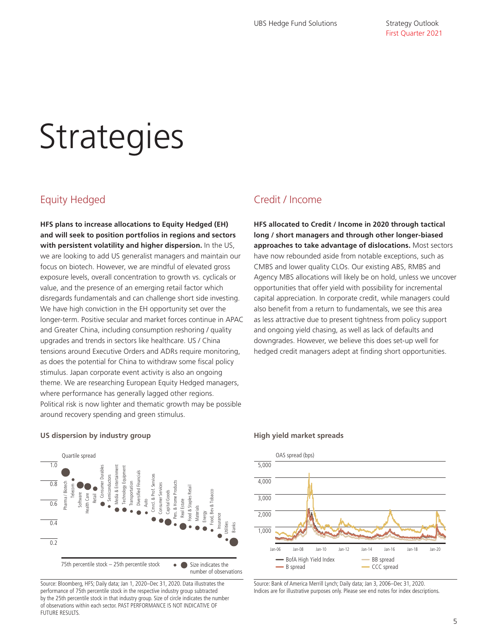## **Strategies**

## Equity Hedged

**HFS plans to increase allocations to Equity Hedged (EH) and will seek to position portfolios in regions and sectors with persistent volatility and higher dispersion.** In the US, we are looking to add US generalist managers and maintain our focus on biotech. However, we are mindful of elevated gross exposure levels, overall concentration to growth vs. cyclicals or value, and the presence of an emerging retail factor which disregards fundamentals and can challenge short side investing. We have high conviction in the EH opportunity set over the longer-term. Positive secular and market forces continue in APAC and Greater China, including consumption reshoring / quality upgrades and trends in sectors like healthcare. US / China tensions around Executive Orders and ADRs require monitoring, as does the potential for China to withdraw some fiscal policy stimulus. Japan corporate event activity is also an ongoing theme. We are researching European Equity Hedged managers, where performance has generally lagged other regions. Political risk is now lighter and thematic growth may be possible around recovery spending and green stimulus.

## Credit / Income

**HFS allocated to Credit / Income in 2020 through tactical long / short managers and through other longer-biased approaches to take advantage of dislocations.** Most sectors have now rebounded aside from notable exceptions, such as CMBS and lower quality CLOs. Our existing ABS, RMBS and Agency MBS allocations will likely be on hold, unless we uncover opportunities that offer yield with possibility for incremental capital appreciation. In corporate credit, while managers could also benefit from a return to fundamentals, we see this area as less attractive due to present tightness from policy support and ongoing yield chasing, as well as lack of defaults and downgrades. However, we believe this does set-up well for hedged credit managers adept at finding short opportunities.

### **US dispersion by industry group High yield market spreads**



Source: Bloomberg, HFS; Daily data; Jan 1, 2020–Dec 31, 2020. Data illustrates the performance of 75th percentile stock in the respective industry group subtracted by the 25th percentile stock in that industry group. Size of circle indicates the number of observations within each sector. PAST PERFORMANCE IS NOT INDICATIVE OF FUTURE RESULTS.



Source: Bank of America Merrill Lynch; Daily data; Jan 3, 2006–Dec 31, 2020. Indices are for illustrative purposes only. Please see end notes for index descriptions.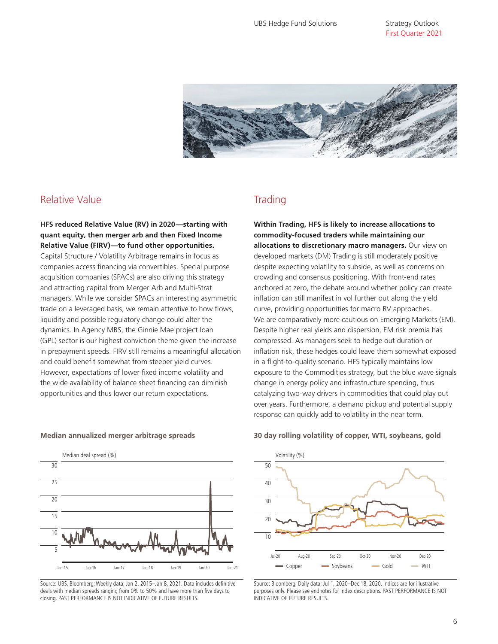Strategy Outlook First Quarter 2021



## Relative Value

**HFS reduced Relative Value (RV) in 2020—starting with quant equity, then merger arb and then Fixed Income Relative Value (FIRV)—to fund other opportunities.**  Capital Structure / Volatility Arbitrage remains in focus as companies access financing via convertibles. Special purpose acquisition companies (SPACs) are also driving this strategy and attracting capital from Merger Arb and Multi-Strat managers. While we consider SPACs an interesting asymmetric trade on a leveraged basis, we remain attentive to how flows, liquidity and possible regulatory change could alter the dynamics. In Agency MBS, the Ginnie Mae project loan (GPL) sector is our highest conviction theme given the increase in prepayment speeds. FIRV still remains a meaningful allocation and could benefit somewhat from steeper yield curves. However, expectations of lower fixed income volatility and the wide availability of balance sheet financing can diminish opportunities and thus lower our return expectations.

## **Trading**

**Within Trading, HFS is likely to increase allocations to commodity-focused traders while maintaining our allocations to discretionary macro managers.** Our view on developed markets (DM) Trading is still moderately positive despite expecting volatility to subside, as well as concerns on crowding and consensus positioning. With front-end rates anchored at zero, the debate around whether policy can create inflation can still manifest in vol further out along the yield curve, providing opportunities for macro RV approaches. We are comparatively more cautious on Emerging Markets (EM). Despite higher real yields and dispersion, EM risk premia has compressed. As managers seek to hedge out duration or inflation risk, these hedges could leave them somewhat exposed in a flight-to-quality scenario. HFS typically maintains low exposure to the Commodities strategy, but the blue wave signals change in energy policy and infrastructure spending, thus catalyzing two-way drivers in commodities that could play out over years. Furthermore, a demand pickup and potential supply response can quickly add to volatility in the near term.



Source: UBS, Bloomberg; Weekly data; Jan 2, 2015–Jan 8, 2021. Data includes definitive deals with median spreads ranging from 0% to 50% and have more than five days to closing. PAST PERFORMANCE IS NOT INDICATIVE OF FUTURE RESULTS.

### **Median annualized merger arbitrage spreads 30 day rolling volatility of copper, WTI, soybeans, gold**



Source: Bloomberg; Daily data; Jul 1, 2020–Dec 18, 2020. Indices are for illustrative purposes only. Please see endnotes for index descriptions. PAST PERFORMANCE IS NOT INDICATIVE OF FUTURE RESULTS.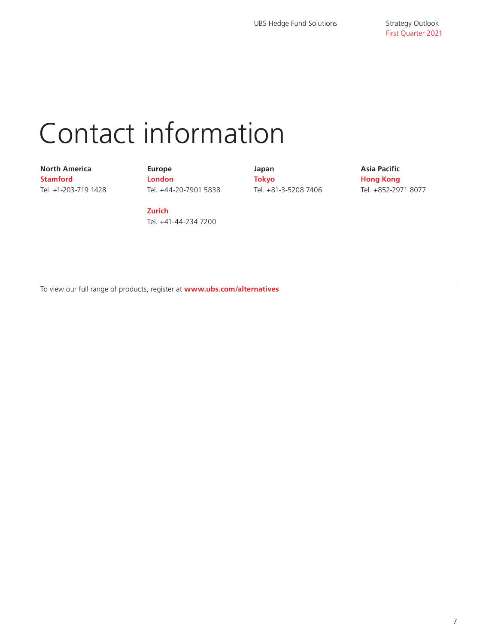## Contact information

### **North America Stamford** Tel. +1-203-719 1428

**Europe London** Tel. +44-20-7901 5838 **Japan Tokyo** Tel. +81-3-5208 7406 **Asia Pacific Hong Kong** Tel. +852-2971 8077

**Zurich** Tel. +41-44-234 7200

To view our full range of products, register at **www.ubs.com/alternatives**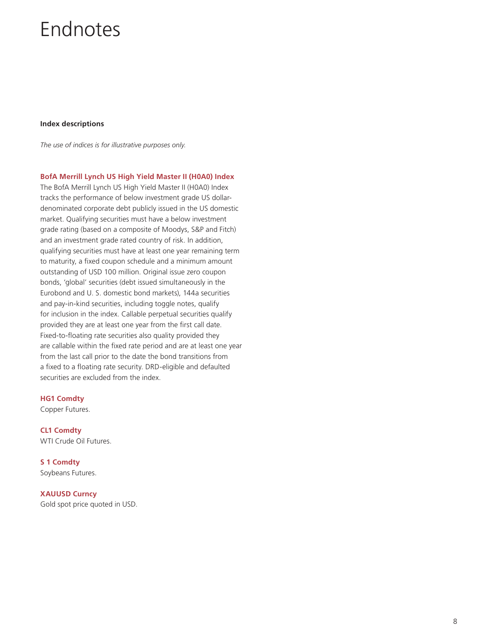## Endnotes

### **Index descriptions**

*The use of indices is for illustrative purposes only.* 

**BofA Merrill Lynch US High Yield Master II (H0A0) Index**

The BofA Merrill Lynch US High Yield Master II (H0A0) Index tracks the performance of below investment grade US dollardenominated corporate debt publicly issued in the US domestic market. Qualifying securities must have a below investment grade rating (based on a composite of Moodys, S&P and Fitch) and an investment grade rated country of risk. In addition, qualifying securities must have at least one year remaining term to maturity, a fixed coupon schedule and a minimum amount outstanding of USD 100 million. Original issue zero coupon bonds, 'global' securities (debt issued simultaneously in the Eurobond and U. S. domestic bond markets), 144a securities and pay-in-kind securities, including toggle notes, qualify for inclusion in the index. Callable perpetual securities qualify provided they are at least one year from the first call date. Fixed-to-floating rate securities also quality provided they are callable within the fixed rate period and are at least one year from the last call prior to the date the bond transitions from a fixed to a floating rate security. DRD-eligible and defaulted securities are excluded from the index.

### **HG1 Comdty**

Copper Futures.

**CL1 Comdty** WTI Crude Oil Futures.

**S 1 Comdty** Soybeans Futures.

**XAUUSD Curncy** Gold spot price quoted in USD.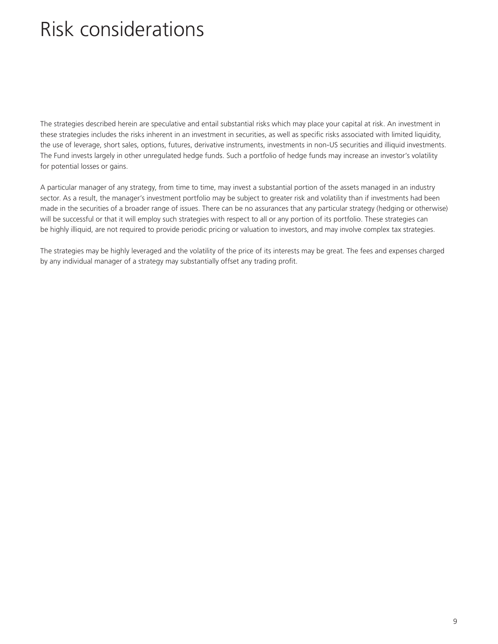## Risk considerations

The strategies described herein are speculative and entail substantial risks which may place your capital at risk. An investment in these strategies includes the risks inherent in an investment in securities, as well as specific risks associated with limited liquidity, the use of leverage, short sales, options, futures, derivative instruments, investments in non-US securities and illiquid investments. The Fund invests largely in other unregulated hedge funds. Such a portfolio of hedge funds may increase an investor's volatility for potential losses or gains.

A particular manager of any strategy, from time to time, may invest a substantial portion of the assets managed in an industry sector. As a result, the manager's investment portfolio may be subject to greater risk and volatility than if investments had been made in the securities of a broader range of issues. There can be no assurances that any particular strategy (hedging or otherwise) will be successful or that it will employ such strategies with respect to all or any portion of its portfolio. These strategies can be highly illiquid, are not required to provide periodic pricing or valuation to investors, and may involve complex tax strategies.

The strategies may be highly leveraged and the volatility of the price of its interests may be great. The fees and expenses charged by any individual manager of a strategy may substantially offset any trading profit.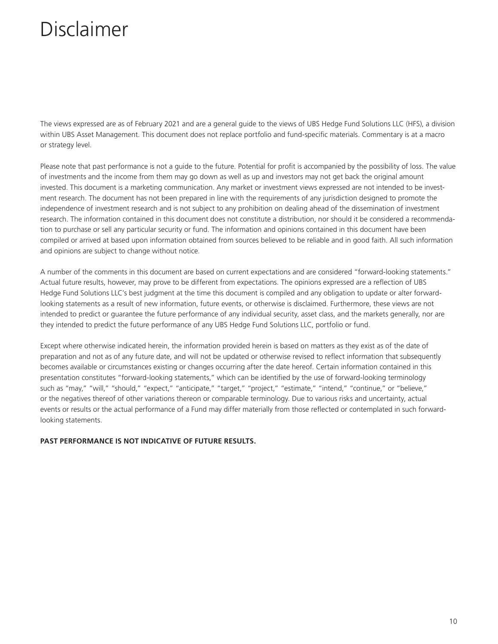The views expressed are as of February 2021 and are a general guide to the views of UBS Hedge Fund Solutions LLC (HFS), a division within UBS Asset Management. This document does not replace portfolio and fund-specific materials. Commentary is at a macro or strategy level.

Please note that past performance is not a guide to the future. Potential for profit is accompanied by the possibility of loss. The value of investments and the income from them may go down as well as up and investors may not get back the original amount invested. This document is a marketing communication. Any market or investment views expressed are not intended to be investment research. The document has not been prepared in line with the requirements of any jurisdiction designed to promote the independence of investment research and is not subject to any prohibition on dealing ahead of the dissemination of investment research. The information contained in this document does not constitute a distribution, nor should it be considered a recommendation to purchase or sell any particular security or fund. The information and opinions contained in this document have been compiled or arrived at based upon information obtained from sources believed to be reliable and in good faith. All such information and opinions are subject to change without notice.

A number of the comments in this document are based on current expectations and are considered "forward-looking statements." Actual future results, however, may prove to be different from expectations. The opinions expressed are a reflection of UBS Hedge Fund Solutions LLC's best judgment at the time this document is compiled and any obligation to update or alter forwardlooking statements as a result of new information, future events, or otherwise is disclaimed. Furthermore, these views are not intended to predict or guarantee the future performance of any individual security, asset class, and the markets generally, nor are they intended to predict the future performance of any UBS Hedge Fund Solutions LLC, portfolio or fund.

Except where otherwise indicated herein, the information provided herein is based on matters as they exist as of the date of preparation and not as of any future date, and will not be updated or otherwise revised to reflect information that subsequently becomes available or circumstances existing or changes occurring after the date hereof. Certain information contained in this presentation constitutes "forward-looking statements," which can be identified by the use of forward-looking terminology such as "may," "will," "should," "expect," "anticipate," "target," "project," "estimate," "intend," "continue," or "believe," or the negatives thereof of other variations thereon or comparable terminology. Due to various risks and uncertainty, actual events or results or the actual performance of a Fund may differ materially from those reflected or contemplated in such forwardlooking statements.

### **PAST PERFORMANCE IS NOT INDICATIVE OF FUTURE RESULTS.**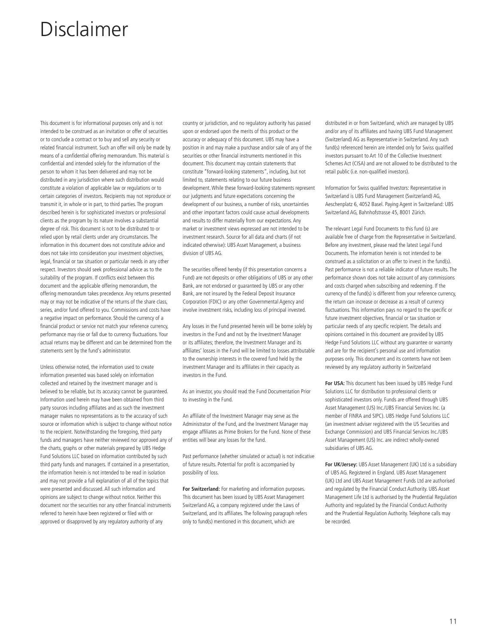This document is for informational purposes only and is not intended to be construed as an invitation or offer of securities or to conclude a contract or to buy and sell any security or related financial instrument. Such an offer will only be made by means of a confidential offering memorandum. This material is confidential and intended solely for the information of the person to whom it has been delivered and may not be distributed in any jurisdiction where such distribution would constitute a violation of applicable law or regulations or to certain categories of investors. Recipients may not reproduce or transmit it, in whole or in part, to third parties. The program described herein is for sophisticated investors or professional clients as the program by its nature involves a substantial degree of risk. This document is not to be distributed to or relied upon by retail clients under any circumstances. The information in this document does not constitute advice and does not take into consideration your investment objectives, legal, financial or tax situation or particular needs in any other respect. Investors should seek professional advice as to the suitability of the program. If conflicts exist between this document and the applicable offering memorandum, the offering memorandum takes precedence. Any returns presented may or may not be indicative of the returns of the share class, series, and/or fund offered to you. Commissions and costs have a negative impact on performance. Should the currency of a financial product or service not match your reference currency, performance may rise or fall due to currency fluctuations. Your actual returns may be different and can be determined from the statements sent by the fund's administrator.

Unless otherwise noted, the information used to create information presented was based solely on information collected and retained by the investment manager and is believed to be reliable, but its accuracy cannot be guaranteed. Information used herein may have been obtained from third party sources including affiliates and as such the investment manager makes no representations as to the accuracy of such source or information which is subject to change without notice to the recipient. Notwithstanding the foregoing, third party funds and managers have neither reviewed nor approved any of the charts, graphs or other materials prepared by UBS Hedge Fund Solutions LLC based on information contributed by such third party funds and managers. If contained in a presentation, the information herein is not intended to be read in isolation and may not provide a full explanation of all of the topics that were presented and discussed. All such information and opinions are subject to change without notice. Neither this document nor the securities nor any other financial instruments referred to herein have been registered or filed with or approved or disapproved by any regulatory authority of any

country or jurisdiction, and no regulatory authority has passed upon or endorsed upon the merits of this product or the accuracy or adequacy of this document. UBS may have a position in and may make a purchase and/or sale of any of the securities or other financial instruments mentioned in this document. This document may contain statements that constitute "forward-looking statements", including, but not limited to, statements relating to our future business development. While these forward-looking statements represent our judgments and future expectations concerning the development of our business, a number of risks, uncertainties and other important factors could cause actual developments and results to differ materially from our expectations. Any market or investment views expressed are not intended to be investment research. Source for all data and charts (if not indicated otherwise): UBS Asset Management, a business division of UBS AG.

The securities offered hereby (if this presentation concerns a Fund) are not deposits or other obligations of UBS or any other Bank, are not endorsed or guaranteed by UBS or any other Bank, are not insured by the Federal Deposit Insurance Corporation (FDIC) or any other Governmental Agency and involve investment risks, including loss of principal invested.

Any losses in the Fund presented herein will be borne solely by investors in the Fund and not by the Investment Manager or its affiliates; therefore, the Investment Manager and its affiliates' losses in the Fund will be limited to losses attributable to the ownership interests in the covered fund held by the investment Manager and its affiliates in their capacity as investors in the Fund.

As an investor, you should read the Fund Documentation Prior to investing in the Fund.

An affiliate of the Investment Manager may serve as the Administrator of the Fund, and the Investment Manager may engage affiliates as Prime Brokers for the Fund. None of these entities will bear any losses for the fund.

Past performance (whether simulated or actual) is not indicative of future results. Potential for profit is accompanied by possibility of loss.

**For Switzerland:** For marketing and information purposes. This document has been issued by UBS Asset Management Switzerland AG, a company registered under the Laws of Switzerland, and its affiliates. The following paragraph refers only to fund(s) mentioned in this document, which are

distributed in or from Switzerland, which are managed by UBS and/or any of its affiliates and having UBS Fund Management (Switzerland) AG as Representative in Switzerland. Any such fund(s) referenced herein are intended only for Swiss qualified investors pursuant to Art 10 of the Collective Investment Schemes Act (CISA) and are not allowed to be distributed to the retail public (i.e. non-qualified investors).

Information for Swiss qualified Investors: Representative in Switzerland is UBS Fund Management (Switzerland) AG, Aeschenplatz 6, 4052 Basel. Paying Agent in Switzerland: UBS Switzerland AG, Bahnhofstrasse 45, 8001 Zürich.

The relevant Legal Fund Documents to this fund (s) are available free of charge from the Representative in Switzerland. Before any investment, please read the latest Legal Fund Documents. The information herein is not intended to be construed as a solicitation or an offer to invest in the fund(s). Past performance is not a reliable indicator of future results. The performance shown does not take account of any commissions and costs charged when subscribing and redeeming. If the currency of the fund(s) is different from your reference currency, the return can increase or decrease as a result of currency fluctuations. This information pays no regard to the specific or future investment objectives, financial or tax situation or particular needs of any specific recipient. The details and opinions contained in this document are provided by UBS Hedge Fund Solutions LLC without any guarantee or warranty and are for the recipient's personal use and information purposes only. This document and its contents have not been reviewed by any regulatory authority in Switzerland

**For USA:** This document has been issued by UBS Hedge Fund Solutions LLC for distribution to professional clients or sophisticated investors only. Funds are offered through UBS Asset Management (US) Inc./UBS Financial Services Inc. (a member of FINRA and SIPC). UBS Hedge Fund Solutions LLC (an investment adviser registered with the US Securities and Exchange Commission) and UBS Financial Services Inc./UBS Asset Management (US) Inc. are indirect wholly-owned subsidiaries of UBS AG.

**For UK/Jersey:** UBS Asset Management (UK) Ltd is a subsidiary of UBS AG. Registered in England. UBS Asset Management (UK) Ltd and UBS Asset Management Funds Ltd are authorised and regulated by the Financial Conduct Authority. UBS Asset Management Life Ltd is authorised by the Prudential Regulation Authority and regulated by the Financial Conduct Authority and the Prudential Regulation Authority. Telephone calls may be recorded.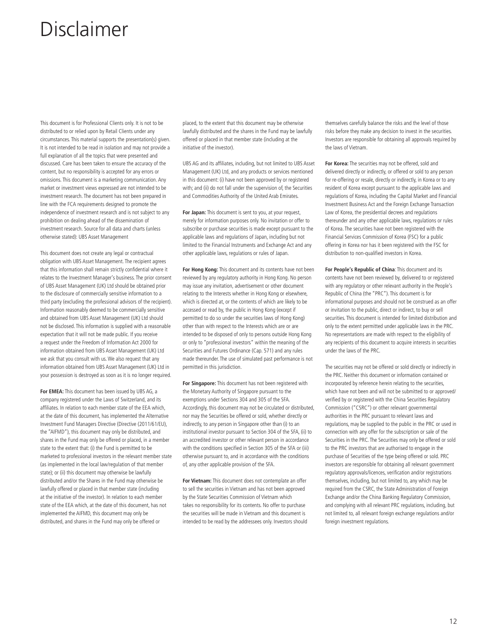This document is for Professional Clients only. It is not to be distributed to or relied upon by Retail Clients under any circumstances. This material supports the presentation(s) given. It is not intended to be read in isolation and may not provide a full explanation of all the topics that were presented and discussed. Care has been taken to ensure the accuracy of the content, but no responsibility is accepted for any errors or omissions. This document is a marketing communication. Any market or investment views expressed are not intended to be investment research. The document has not been prepared in line with the FCA requirements designed to promote the independence of investment research and is not subject to any prohibition on dealing ahead of the dissemination of investment research. Source for all data and charts (unless otherwise stated): UBS Asset Management

This document does not create any legal or contractual obligation with UBS Asset Management. The recipient agrees that this information shall remain strictly confidential where it relates to the Investment Manager's business. The prior consent of UBS Asset Management (UK) Ltd should be obtained prior to the disclosure of commercially sensitive information to a third party (excluding the professional advisors of the recipient). Information reasonably deemed to be commercially sensitive and obtained from UBS Asset Management (UK) Ltd should not be disclosed. This information is supplied with a reasonable expectation that it will not be made public. If you receive a request under the Freedom of Information Act 2000 for information obtained from UBS Asset Management (UK) Ltd we ask that you consult with us. We also request that any information obtained from UBS Asset Management (UK) Ltd in your possession is destroyed as soon as it is no longer required.

**For EMEA:** This document has been issued by UBS AG, a company registered under the Laws of Switzerland, and its affiliates. In relation to each member state of the EEA which, at the date of this document, has implemented the Alternative Investment Fund Managers Directive (Directive (2011/61/EU), the "AIFMD"), this document may only be distributed, and shares in the Fund may only be offered or placed, in a member state to the extent that: (i) the Fund is permitted to be marketed to professional investors in the relevant member state (as implemented in the local law/regulation of that member state); or (ii) this document may otherwise be lawfully distributed and/or the Shares in the Fund may otherwise be lawfully offered or placed in that member state (including at the initiative of the investor). In relation to each member state of the EEA which, at the date of this document, has not implemented the AIFMD, this document may only be distributed, and shares in the Fund may only be offered or

placed, to the extent that this document may be otherwise lawfully distributed and the shares in the Fund may be lawfully offered or placed in that member state (including at the initiative of the investor).

UBS AG and its affiliates, including, but not limited to UBS Asset Management (UK) Ltd, and any products or services mentioned in this document: (i) have not been approved by or registered with; and (ii) do not fall under the supervision of, the Securities and Commodities Authority of the United Arab Emirates.

**For Japan:** This document is sent to you, at your request, merely for information purposes only. No invitation or offer to subscribe or purchase securities is made except pursuant to the applicable laws and regulations of Japan, including but not limited to the Financial Instruments and Exchange Act and any other applicable laws, regulations or rules of Japan.

**For Hong Kong:** This document and its contents have not been reviewed by any regulatory authority in Hong Kong. No person may issue any invitation, advertisement or other document relating to the Interests whether in Hong Kong or elsewhere, which is directed at, or the contents of which are likely to be accessed or read by, the public in Hong Kong (except if permitted to do so under the securities laws of Hong Kong) other than with respect to the Interests which are or are intended to be disposed of only to persons outside Hong Kong or only to "professional investors" within the meaning of the Securities and Futures Ordinance (Cap. 571) and any rules made thereunder. The use of simulated past performance is not permitted in this jurisdiction.

**For Singapore:** This document has not been registered with the Monetary Authority of Singapore pursuant to the exemptions under Sections 304 and 305 of the SFA. Accordingly, this document may not be circulated or distributed, nor may the Securities be offered or sold, whether directly or indirectly, to any person in Singapore other than (i) to an institutional investor pursuant to Section 304 of the SFA, (ii) to an accredited investor or other relevant person in accordance with the conditions specified in Section 305 of the SFA or (iii) otherwise pursuant to, and in accordance with the conditions of, any other applicable provision of the SFA.

**For Vietnam:** This document does not contemplate an offer to sell the securities in Vietnam and has not been approved by the State Securities Commission of Vietnam which takes no responsibility for its contents. No offer to purchase the securities will be made in Vietnam and this document is intended to be read by the addressees only. Investors should themselves carefully balance the risks and the level of those risks before they make any decision to invest in the securities. Investors are responsible for obtaining all approvals required by the laws of Vietnam.

**For Korea:** The securities may not be offered, sold and delivered directly or indirectly, or offered or sold to any person for re-offering or resale, directly or indirectly, in Korea or to any resident of Korea except pursuant to the applicable laws and regulations of Korea, including the Capital Market and Financial Investment Business Act and the Foreign Exchange Transaction Law of Korea, the presidential decrees and regulations thereunder and any other applicable laws, regulations or rules of Korea. The securities have not been registered with the Financial Services Commission of Korea (FSC) for a public offering in Korea nor has it been registered with the FSC for distribution to non-qualified investors in Korea.

**For People's Republic of China**: This document and its contents have not been reviewed by, delivered to or registered with any regulatory or other relevant authority in the People's Republic of China (the "PRC"). This document is for informational purposes and should not be construed as an offer or invitation to the public, direct or indirect, to buy or sell securities. This document is intended for limited distribution and only to the extent permitted under applicable laws in the PRC. No representations are made with respect to the eligibility of any recipients of this document to acquire interests in securities under the laws of the PRC.

The securities may not be offered or sold directly or indirectly in the PRC. Neither this document or information contained or incorporated by reference herein relating to the securities, which have not been and will not be submitted to or approved/ verified by or registered with the China Securities Regulatory Commission ("CSRC") or other relevant governmental authorities in the PRC pursuant to relevant laws and regulations, may be supplied to the public in the PRC or used in connection with any offer for the subscription or sale of the Securities in the PRC. The Securities may only be offered or sold to the PRC investors that are authorised to engage in the purchase of Securities of the type being offered or sold. PRC investors are responsible for obtaining all relevant government regulatory approvals/licences, verification and/or registrations themselves, including, but not limited to, any which may be required from the CSRC, the State Administration of Foreign Exchange and/or the China Banking Regulatory Commission, and complying with all relevant PRC regulations, including, but not limited to, all relevant foreign exchange regulations and/or foreign investment regulations.